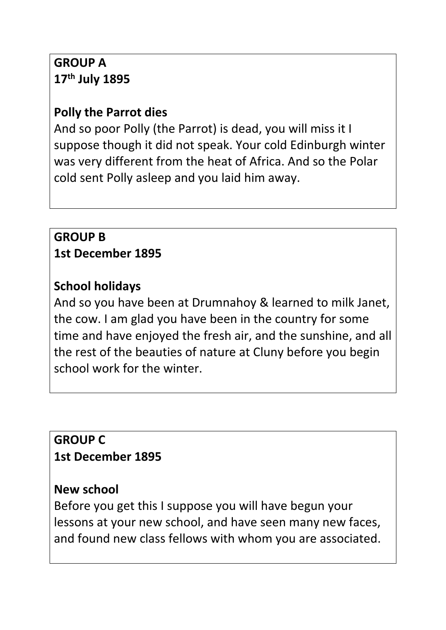# **GROUP A 17th July 1895**

## **Polly the Parrot dies**

And so poor Polly (the Parrot) is dead, you will miss it I suppose though it did not speak. Your cold Edinburgh winter was very different from the heat of Africa. And so the Polar cold sent Polly asleep and you laid him away.

#### **GROUP B 1st December 1895**

# **School holidays**

And so you have been at Drumnahoy & learned to milk Janet, the cow. I am glad you have been in the country for some time and have enjoyed the fresh air, and the sunshine, and all the rest of the beauties of nature at Cluny before you begin school work for the winter.

## **GROUP C 1st December 1895**

## **New school**

Before you get this I suppose you will have begun your lessons at your new school, and have seen many new faces, and found new class fellows with whom you are associated.